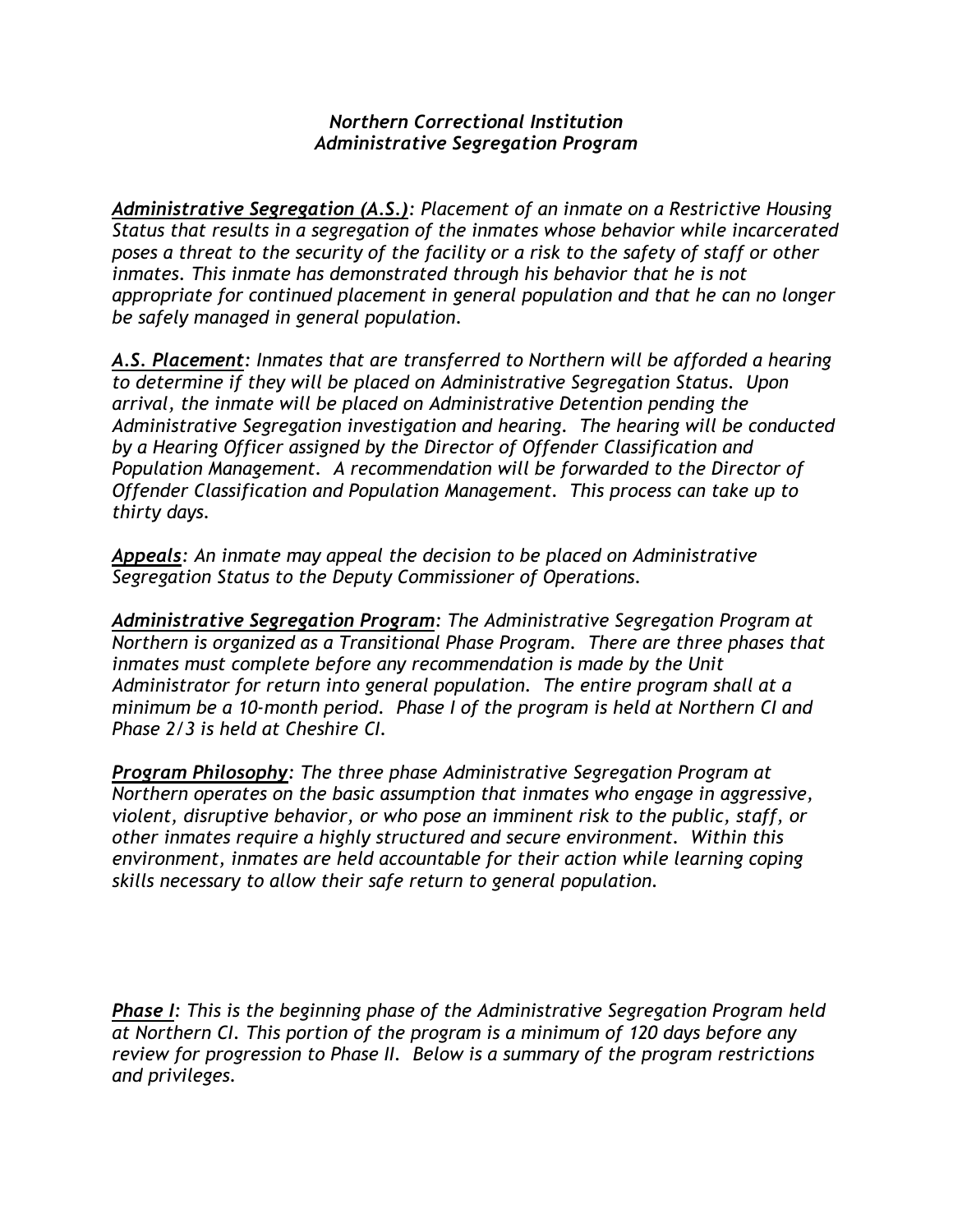## *Northern Correctional Institution Administrative Segregation Program*

*Administrative Segregation (A.S.): Placement of an inmate on a Restrictive Housing Status that results in a segregation of the inmates whose behavior while incarcerated poses a threat to the security of the facility or a risk to the safety of staff or other inmates. This inmate has demonstrated through his behavior that he is not appropriate for continued placement in general population and that he can no longer be safely managed in general population.*

*A.S. Placement: Inmates that are transferred to Northern will be afforded a hearing to determine if they will be placed on Administrative Segregation Status. Upon arrival, the inmate will be placed on Administrative Detention pending the Administrative Segregation investigation and hearing. The hearing will be conducted by a Hearing Officer assigned by the Director of Offender Classification and Population Management. A recommendation will be forwarded to the Director of Offender Classification and Population Management. This process can take up to thirty days.*

*Appeals: An inmate may appeal the decision to be placed on Administrative Segregation Status to the Deputy Commissioner of Operations.*

*Administrative Segregation Program: The Administrative Segregation Program at Northern is organized as a Transitional Phase Program. There are three phases that inmates must complete before any recommendation is made by the Unit Administrator for return into general population. The entire program shall at a minimum be a 10-month period. Phase I of the program is held at Northern CI and Phase 2/3 is held at Cheshire CI.*

*Program Philosophy: The three phase Administrative Segregation Program at Northern operates on the basic assumption that inmates who engage in aggressive, violent, disruptive behavior, or who pose an imminent risk to the public, staff, or other inmates require a highly structured and secure environment. Within this environment, inmates are held accountable for their action while learning coping skills necessary to allow their safe return to general population.*

*Phase I: This is the beginning phase of the Administrative Segregation Program held at Northern CI. This portion of the program is a minimum of 120 days before any review for progression to Phase II. Below is a summary of the program restrictions and privileges.*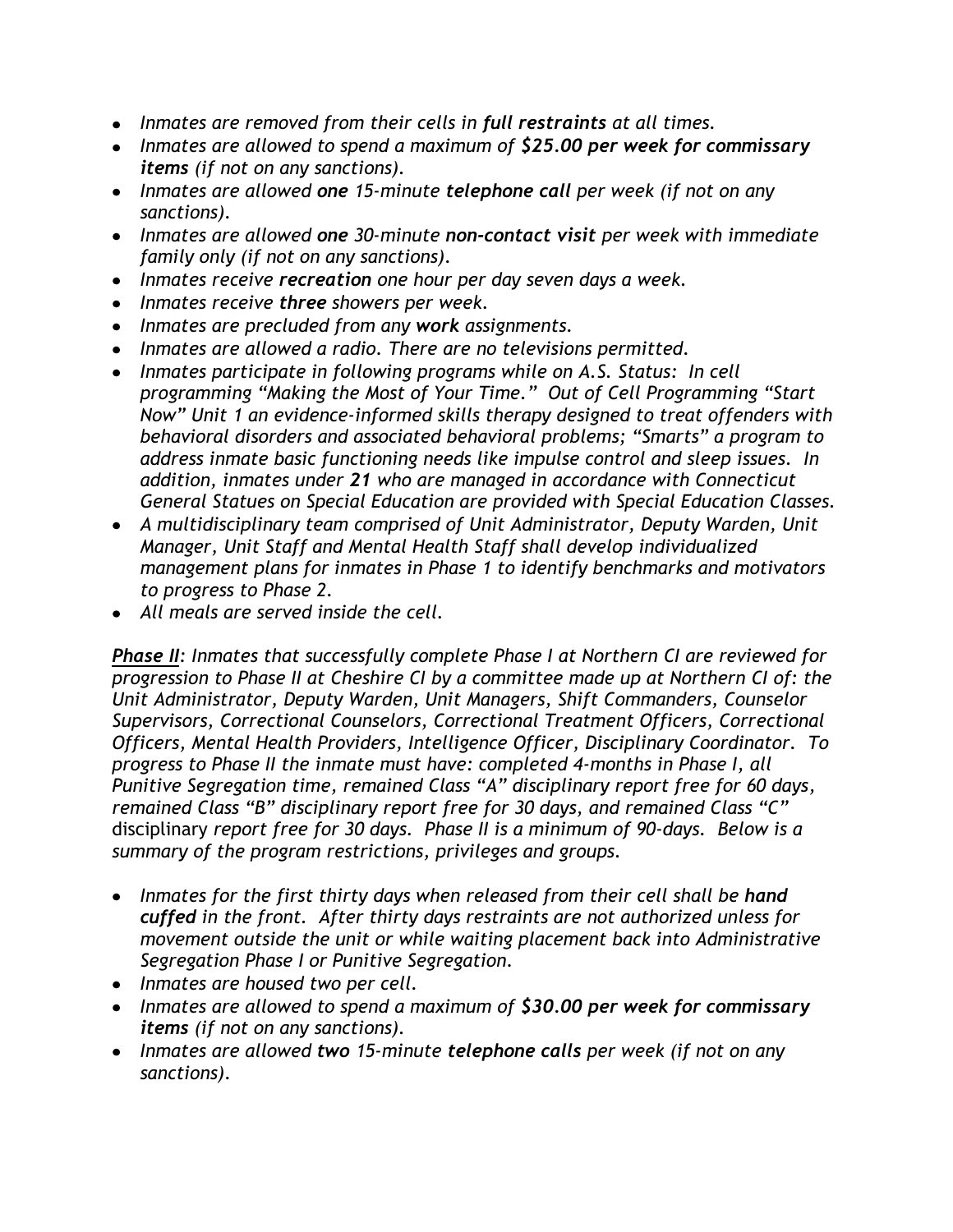- *Inmates are removed from their cells in full restraints at all times.*
- *Inmates are allowed to spend a maximum of \$25.00 per week for commissary items (if not on any sanctions).*
- *Inmates are allowed one 15-minute telephone call per week (if not on any sanctions).*
- *Inmates are allowed one 30-minute non-contact visit per week with immediate family only (if not on any sanctions).*
- *Inmates receive recreation one hour per day seven days a week.*
- *Inmates receive three showers per week.*
- *Inmates are precluded from any work assignments.*
- *Inmates are allowed a radio. There are no televisions permitted.*
- *Inmates participate in following programs while on A.S. Status: In cell programming "Making the Most of Your Time." Out of Cell Programming "Start Now" Unit 1 an evidence-informed skills therapy designed to treat offenders with behavioral disorders and associated behavioral problems; "Smarts" a program to address inmate basic functioning needs like impulse control and sleep issues. In addition, inmates under 21 who are managed in accordance with Connecticut General Statues on Special Education are provided with Special Education Classes.*
- *A multidisciplinary team comprised of Unit Administrator, Deputy Warden, Unit Manager, Unit Staff and Mental Health Staff shall develop individualized management plans for inmates in Phase 1 to identify benchmarks and motivators to progress to Phase 2.*
- *All meals are served inside the cell.*

*Phase II: Inmates that successfully complete Phase I at Northern CI are reviewed for progression to Phase II at Cheshire CI by a committee made up at Northern CI of: the Unit Administrator, Deputy Warden, Unit Managers, Shift Commanders, Counselor Supervisors, Correctional Counselors, Correctional Treatment Officers, Correctional Officers, Mental Health Providers, Intelligence Officer, Disciplinary Coordinator. To progress to Phase II the inmate must have: completed 4-months in Phase I, all Punitive Segregation time, remained Class "A" disciplinary report free for 60 days, remained Class "B" disciplinary report free for 30 days, and remained Class "C"* disciplinary *report free for 30 days. Phase II is a minimum of 90-days. Below is a summary of the program restrictions, privileges and groups.* 

- Inmates for the first thirty days when released from their cell shall be **hand** *cuffed in the front. After thirty days restraints are not authorized unless for movement outside the unit or while waiting placement back into Administrative Segregation Phase I or Punitive Segregation.*
- *Inmates are housed two per cell.*
- *Inmates are allowed to spend a maximum of \$30.00 per week for commissary items (if not on any sanctions).*
- *Inmates are allowed two 15-minute telephone calls per week (if not on any sanctions).*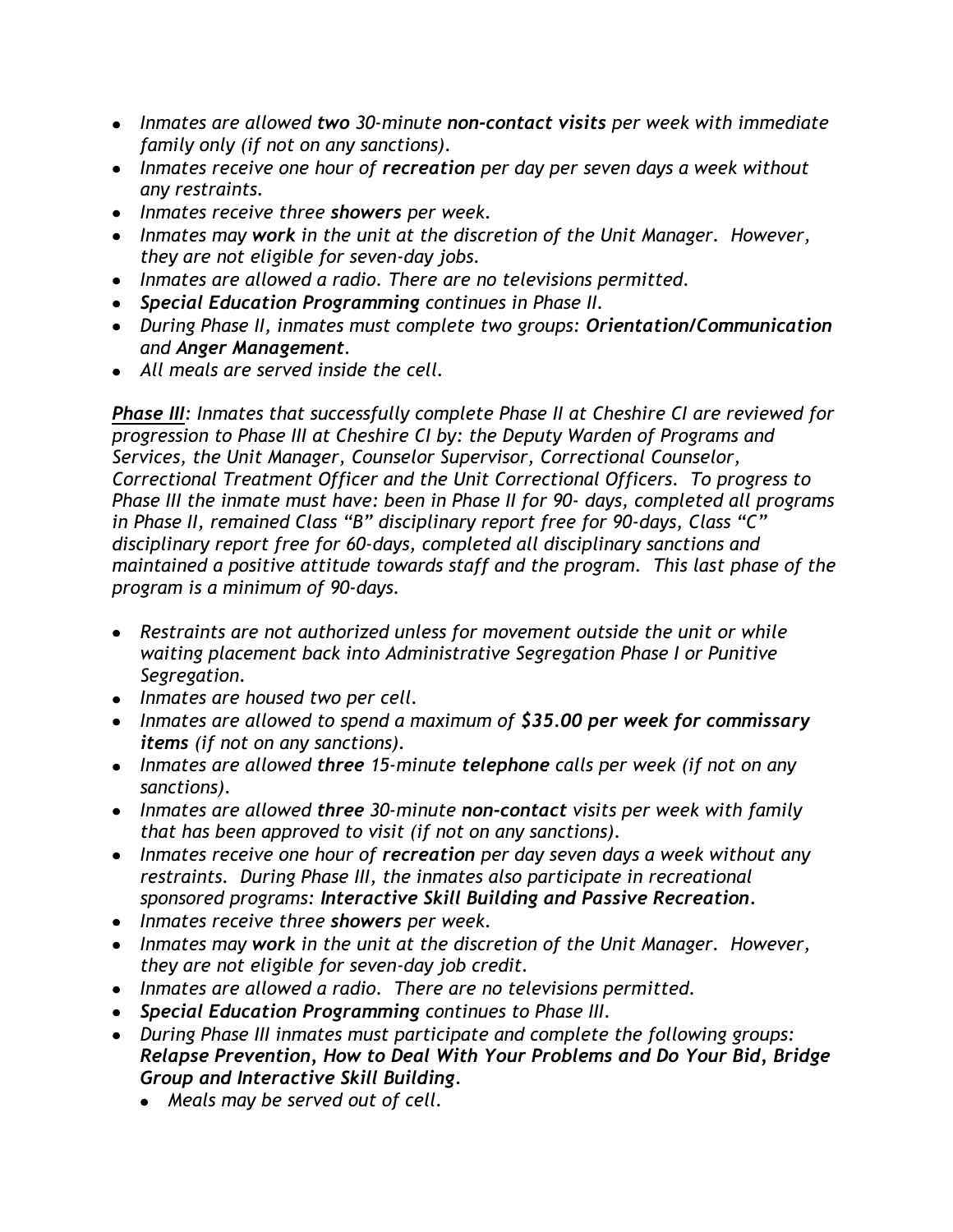- *Inmates are allowed two 30-minute non-contact visits per week with immediate family only (if not on any sanctions).*
- *Inmates receive one hour of recreation per day per seven days a week without any restraints.*
- *Inmates receive three showers per week.*
- *Inmates may work in the unit at the discretion of the Unit Manager. However, they are not eligible for seven-day jobs.*
- *Inmates are allowed a radio. There are no televisions permitted.*
- *Special Education Programming continues in Phase II.*
- *During Phase II, inmates must complete two groups: Orientation/Communication and Anger Management.*
- *All meals are served inside the cell.*

*Phase III: Inmates that successfully complete Phase II at Cheshire CI are reviewed for progression to Phase III at Cheshire CI by: the Deputy Warden of Programs and Services, the Unit Manager, Counselor Supervisor, Correctional Counselor, Correctional Treatment Officer and the Unit Correctional Officers. To progress to Phase III the inmate must have: been in Phase II for 90- days, completed all programs in Phase II, remained Class "B" disciplinary report free for 90-days, Class "C" disciplinary report free for 60-days, completed all disciplinary sanctions and maintained a positive attitude towards staff and the program. This last phase of the program is a minimum of 90-days.*

- *Restraints are not authorized unless for movement outside the unit or while waiting placement back into Administrative Segregation Phase I or Punitive Segregation.*
- *Inmates are housed two per cell.*
- *Inmates are allowed to spend a maximum of \$35.00 per week for commissary items (if not on any sanctions).*
- *Inmates are allowed three 15-minute telephone calls per week (if not on any sanctions).*
- *Inmates are allowed three 30-minute non-contact visits per week with family that has been approved to visit (if not on any sanctions).*
- *Inmates receive one hour of recreation per day seven days a week without any restraints. During Phase III, the inmates also participate in recreational sponsored programs: Interactive Skill Building and Passive Recreation.*
- *Inmates receive three showers per week.*
- *Inmates may work in the unit at the discretion of the Unit Manager. However, they are not eligible for seven-day job credit.*
- *Inmates are allowed a radio. There are no televisions permitted.*
- *Special Education Programming continues to Phase III.*
- *During Phase III inmates must participate and complete the following groups: Relapse Prevention, How to Deal With Your Problems and Do Your Bid, Bridge Group and Interactive Skill Building.*
	- *Meals may be served out of cell.*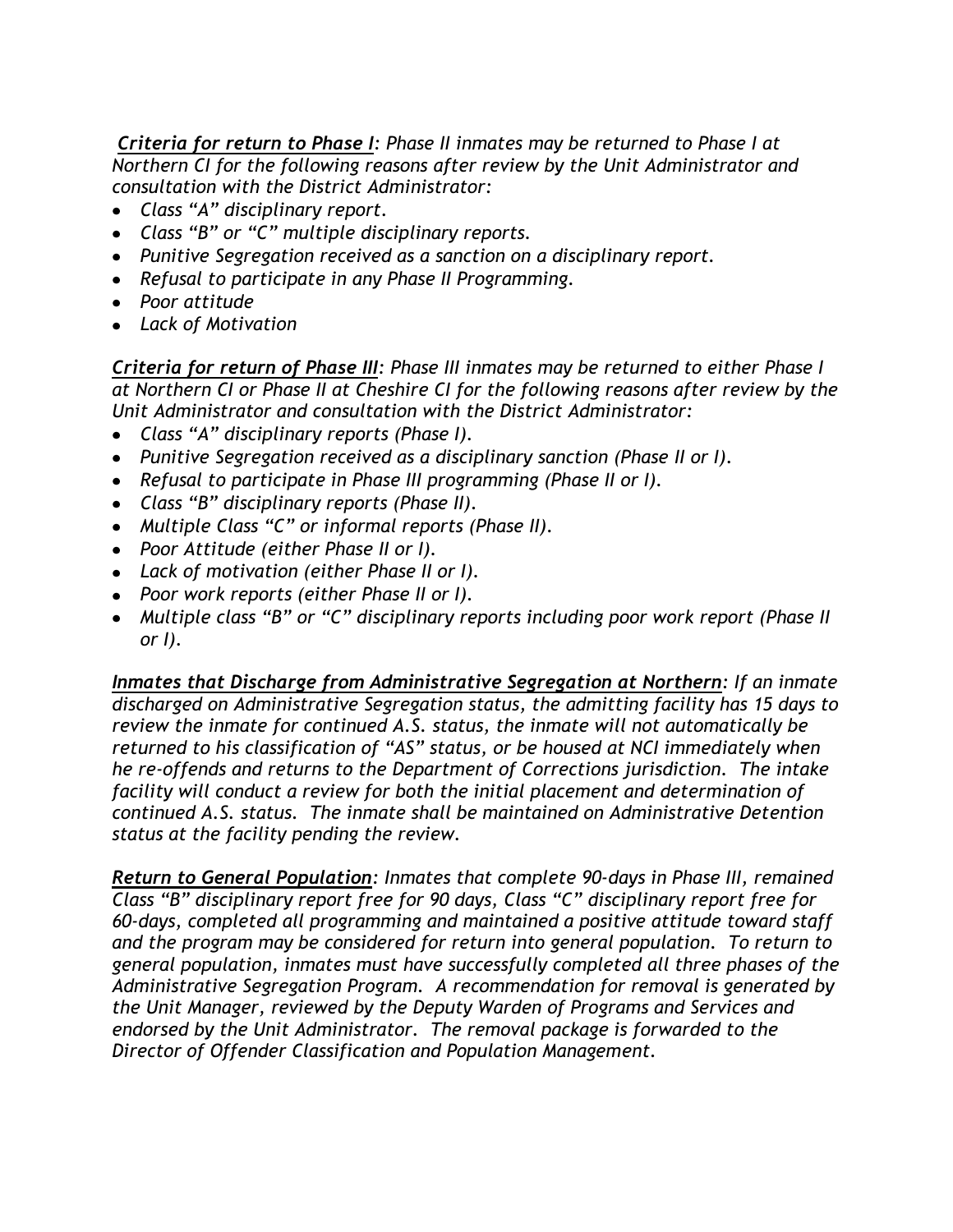*Criteria for return to Phase I: Phase II inmates may be returned to Phase I at Northern CI for the following reasons after review by the Unit Administrator and consultation with the District Administrator:*

- *Class "A" disciplinary report.*
- *Class "B" or "C" multiple disciplinary reports.*
- *Punitive Segregation received as a sanction on a disciplinary report.*
- *Refusal to participate in any Phase II Programming.*
- *Poor attitude*
- *Lack of Motivation*

*Criteria for return of Phase III: Phase III inmates may be returned to either Phase I at Northern CI or Phase II at Cheshire CI for the following reasons after review by the Unit Administrator and consultation with the District Administrator:*

- *Class "A" disciplinary reports (Phase I).*
- *Punitive Segregation received as a disciplinary sanction (Phase II or I).*
- *Refusal to participate in Phase III programming (Phase II or I).*
- *Class "B" disciplinary reports (Phase II).*
- *Multiple Class "C" or informal reports (Phase II).*
- *Poor Attitude (either Phase II or I).*
- *Lack of motivation (either Phase II or I).*
- *Poor work reports (either Phase II or I).*
- *Multiple class "B" or "C" disciplinary reports including poor work report (Phase II or I).*

*Inmates that Discharge from Administrative Segregation at Northern: If an inmate discharged on Administrative Segregation status, the admitting facility has 15 days to review the inmate for continued A.S. status, the inmate will not automatically be returned to his classification of "AS" status, or be housed at NCI immediately when he re-offends and returns to the Department of Corrections jurisdiction. The intake facility will conduct a review for both the initial placement and determination of continued A.S. status. The inmate shall be maintained on Administrative Detention status at the facility pending the review.* 

*Return to General Population: Inmates that complete 90-days in Phase III, remained Class "B" disciplinary report free for 90 days, Class "C" disciplinary report free for 60-days, completed all programming and maintained a positive attitude toward staff and the program may be considered for return into general population. To return to general population, inmates must have successfully completed all three phases of the Administrative Segregation Program. A recommendation for removal is generated by the Unit Manager, reviewed by the Deputy Warden of Programs and Services and endorsed by the Unit Administrator. The removal package is forwarded to the Director of Offender Classification and Population Management.*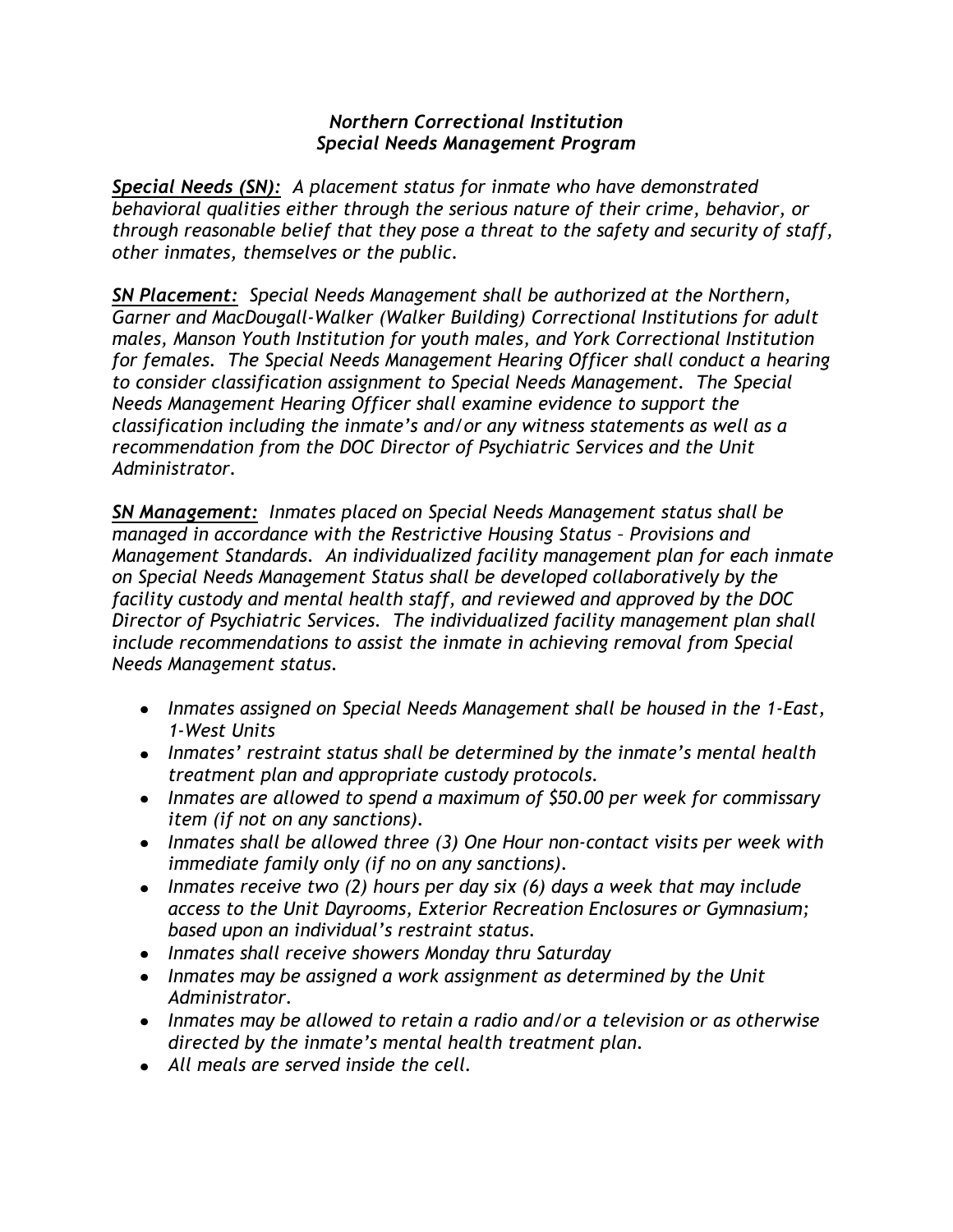## *Northern Correctional Institution Special Needs Management Program*

*Special Needs (SN): A placement status for inmate who have demonstrated behavioral qualities either through the serious nature of their crime, behavior, or through reasonable belief that they pose a threat to the safety and security of staff, other inmates, themselves or the public.*

*SN Placement: Special Needs Management shall be authorized at the Northern, Garner and MacDougall-Walker (Walker Building) Correctional Institutions for adult males, Manson Youth Institution for youth males, and York Correctional Institution for females. The Special Needs Management Hearing Officer shall conduct a hearing to consider classification assignment to Special Needs Management. The Special Needs Management Hearing Officer shall examine evidence to support the classification including the inmate's and/or any witness statements as well as a recommendation from the DOC Director of Psychiatric Services and the Unit Administrator.*

*SN Management: Inmates placed on Special Needs Management status shall be managed in accordance with the Restrictive Housing Status - Provisions and Management Standards. An individualized facility management plan for each inmate on Special Needs Management Status shall be developed collaboratively by the facility custody and mental health staff, and reviewed and approved by the DOC Director of Psychiatric Services. The individualized facility management plan shall include recommendations to assist the inmate in achieving removal from Special Needs Management status.*

- *Inmates assigned on Special Needs Management shall be housed in the 1-East, 1-West Units*
- *Inmates' restraint status shall be determined by the inmate's mental health treatment plan and appropriate custody protocols.*
- *Inmates are allowed to spend a maximum of \$50.00 per week for commissary item (if not on any sanctions).*
- *Inmates shall be allowed three (3) One Hour non-contact visits per week with immediate family only (if no on any sanctions).*
- *Inmates receive two (2) hours per day six (6) days a week that may include access to the Unit Dayrooms, Exterior Recreation Enclosures or Gymnasium; based upon an individual's restraint status.*
- *Inmates shall receive showers Monday thru Saturday*
- *Inmates may be assigned a work assignment as determined by the Unit Administrator.*
- *Inmates may be allowed to retain a radio and/or a television or as otherwise directed by the inmate's mental health treatment plan.*
- *All meals are served inside the cell.*